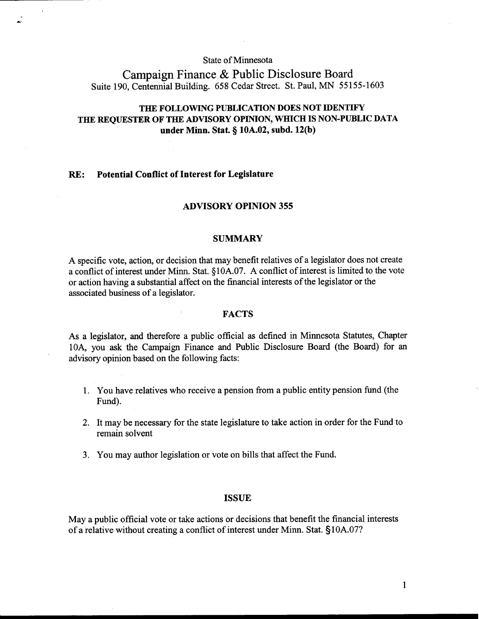## State of Minnesota

# Campaign Finance & Public Disclosure Board Suite 190, Centennial Building. 658 Cedar Street. St. Paul, MN 55155-1603

# **THE FOLLOWING PUBLICATION DOES NOT IDENTIFY THE REQUESTER OF THE ADVISORY OPINION, WHICH IS NON-PUBLIC DATA under Minn. Stat.** *5* **10A.02, subd. 12(b)**

### **RE: Potential Conflict of Interest for Legislature**

#### **ADVISORY OPINION 355**

#### **SUMMARY**

A specific vote, action, or decision that may benefit relatives of a legislator does not create a conflict of interest under Minn. Stat. **8** 10A.07. A conflict of interest is limited to the vote or action having a substantial affect on the financial interests of the legislator or the associated business of a legislator.

## **FACTS**

As a legislator, and therefore a public official as defined in Minnesota Statutes, Chapter 10A, you ask the Campaign Finance and Public Disclosure Board (the Board) for an advisory opinion based on the following facts:

- 1. You have relatives who receive a pension from a public entity pension fund (the Fund).
- 2. It may be necessary for the state legislature to take action in order for the Fund to remain solvent
- 3. You may author legislation or vote on bills that affect the Fund.

#### **ISSUE**

May a public official vote or take actions or decisions that benefit the financial interests of a relative without creating a conflict of interest under Minn. Stat. §10A.07?

 $\mathbf{1}$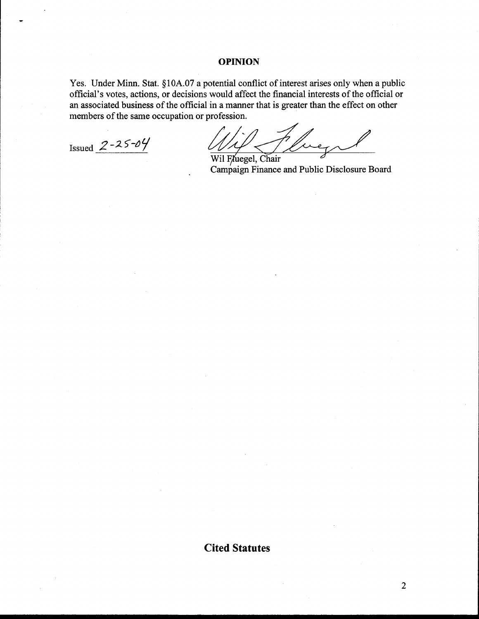### **OPINION**

Yes. Under Minn. Stat. §10A.07 a potential conflict of interest arises only when a public official's votes, actions, or decisions would affect the financial interests of the official or an associated business of the official in a manner that is greater than the effect on other members of the same occupation or profession.

Issued  $2 - 25 - 04$ 

Wil Fluegel, Chair Campaign Finance and Public Disclosure Board

**Cited Statutes** 

 $\overline{2}$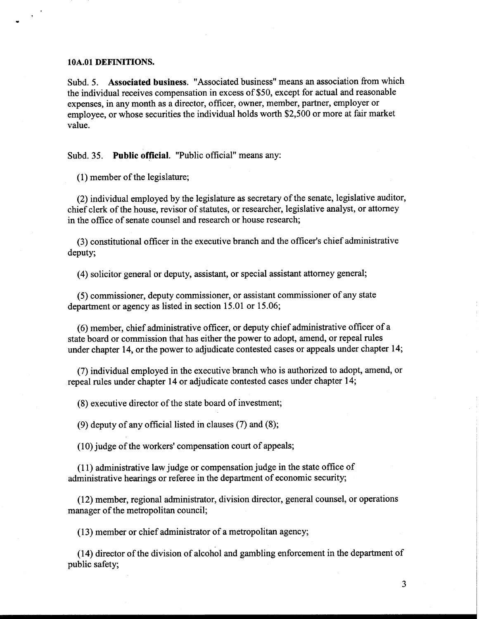#### **10A.O1 DEFINITIONS.**

Subd. 5. **Associated business.** "Associated business" means an association from which the individual receives compensation in excess of \$50, except for actual and reasonable expenses, in any month as a director, officer, owner, member, partner, employer or employee, or whose securities the individual holds worth \$2,500 or more at fair market value.

Subd. 35. **Public official.** "Public official" means any:

(1) member of the legislature;

(2) individual employed by the legislature as secretary of the senate, legislative auditor, chief clerk of the house, revisor of statutes, or researcher, legislative analyst, or attorney in the office of senate counsel and research or house research;

**(3)** constitutional officer in the executive branch and the officer's chief administrative deputy;

(4) solicitor general or deputy, assistant, or special assistant attorney general;

(5) commissioner, deputy commissioner, or assistant commissioner of any state department or agency as listed in section 15.01 or 15.06;

(6) member, chief administrative officer, or deputy chief administrative officer of a state board or commission that has either the power to adopt, amend, or repeal rules under chapter 14, or the power to adjudicate contested cases or appeals under chapter 14;

(7) individual employed in the executive branch who is authorized to adopt, amend, or repeal rules under chapter 14 or adjudicate contested cases under chapter 14;

(8) executive director of the state board of investment;

(9) deputy of any official listed in clauses (7) and (8);

(10) judge of the workers' compensation court of appeals;

(1 1) administrative law judge or compensation judge in the state office of administrative hearings or referee in the department of economic security;

(12) member, regional administrator, division director, general counsel, or operations manager of the metropolitan council;

(1 3) member or chief administrator of a metropolitan agency;

(14) director of the division of alcohol and gambling enforcement in the department of public safety;

3